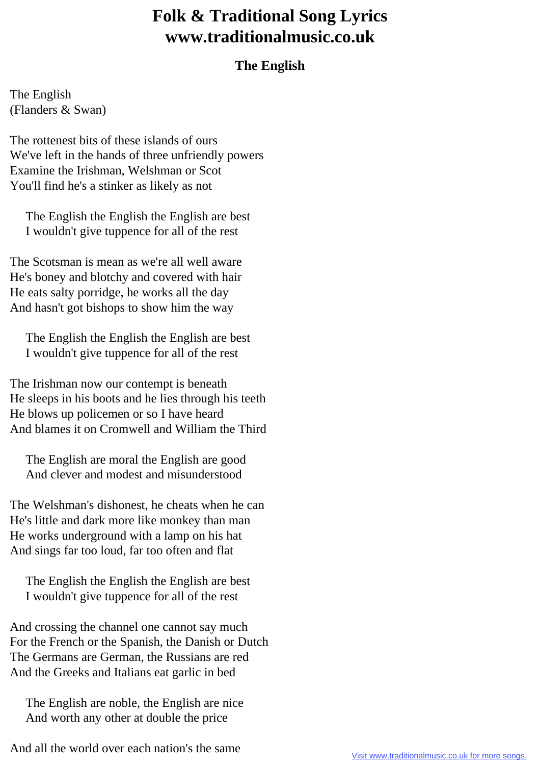## **Folk & Traditional Song Lyrics www.traditionalmusic.co.uk**

## **The English**

The English (Flanders & Swan)

The rottenest bits of these islands of ours We've left in the hands of three unfriendly powers Examine the Irishman, Welshman or Scot You'll find he's a stinker as likely as not

 The English the English the English are best I wouldn't give tuppence for all of the rest

The Scotsman is mean as we're all well aware He's boney and blotchy and covered with hair He eats salty porridge, he works all the day And hasn't got bishops to show him the way

 The English the English the English are best I wouldn't give tuppence for all of the rest

The Irishman now our contempt is beneath He sleeps in his boots and he lies through his teeth He blows up policemen or so I have heard And blames it on Cromwell and William the Third

 The English are moral the English are good And clever and modest and misunderstood

The Welshman's dishonest, he cheats when he can He's little and dark more like monkey than man He works underground with a lamp on his hat And sings far too loud, far too often and flat

 The English the English the English are best I wouldn't give tuppence for all of the rest

And crossing the channel one cannot say much For the French or the Spanish, the Danish or Dutch The Germans are German, the Russians are red And the Greeks and Italians eat garlic in bed

 The English are noble, the English are nice And worth any other at double the price

And all the world over each nation's the same